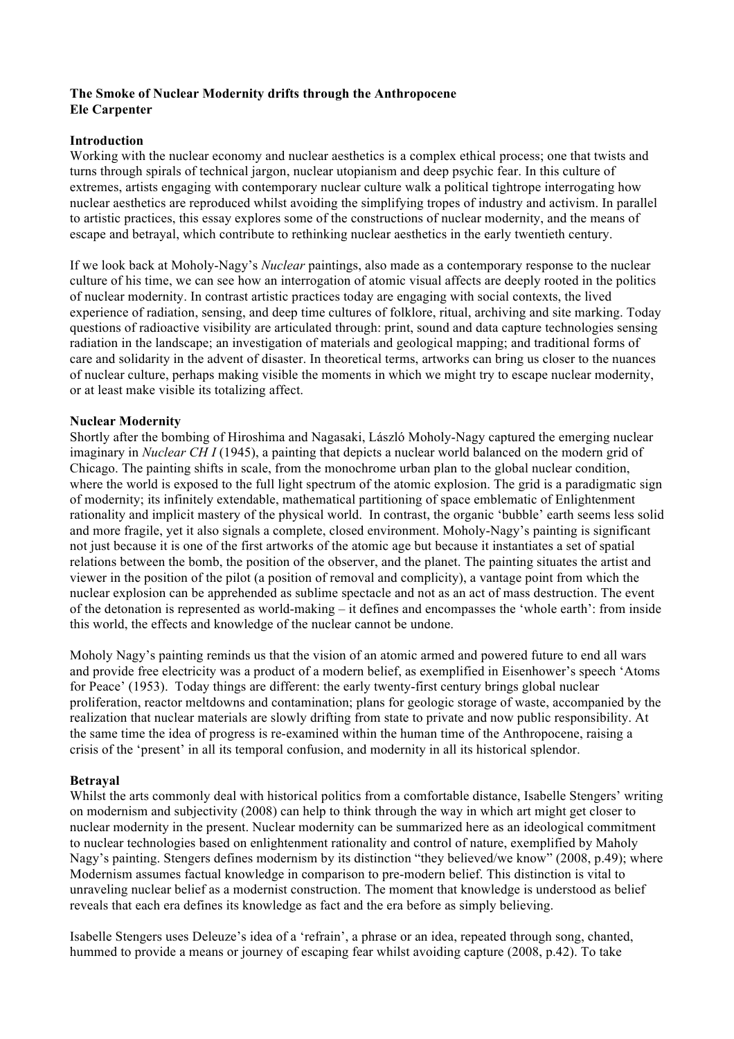## **The Smoke of Nuclear Modernity drifts through the Anthropocene Ele Carpenter**

## **Introduction**

Working with the nuclear economy and nuclear aesthetics is a complex ethical process; one that twists and turns through spirals of technical jargon, nuclear utopianism and deep psychic fear. In this culture of extremes, artists engaging with contemporary nuclear culture walk a political tightrope interrogating how nuclear aesthetics are reproduced whilst avoiding the simplifying tropes of industry and activism. In parallel to artistic practices, this essay explores some of the constructions of nuclear modernity, and the means of escape and betrayal, which contribute to rethinking nuclear aesthetics in the early twentieth century.

If we look back at Moholy-Nagy's *Nuclear* paintings, also made as a contemporary response to the nuclear culture of his time, we can see how an interrogation of atomic visual affects are deeply rooted in the politics of nuclear modernity. In contrast artistic practices today are engaging with social contexts, the lived experience of radiation, sensing, and deep time cultures of folklore, ritual, archiving and site marking. Today questions of radioactive visibility are articulated through: print, sound and data capture technologies sensing radiation in the landscape; an investigation of materials and geological mapping; and traditional forms of care and solidarity in the advent of disaster. In theoretical terms, artworks can bring us closer to the nuances of nuclear culture, perhaps making visible the moments in which we might try to escape nuclear modernity, or at least make visible its totalizing affect.

# **Nuclear Modernity**

Shortly after the bombing of Hiroshima and Nagasaki, László Moholy-Nagy captured the emerging nuclear imaginary in *Nuclear CH I* (1945), a painting that depicts a nuclear world balanced on the modern grid of Chicago. The painting shifts in scale, from the monochrome urban plan to the global nuclear condition, where the world is exposed to the full light spectrum of the atomic explosion. The grid is a paradigmatic sign of modernity; its infinitely extendable, mathematical partitioning of space emblematic of Enlightenment rationality and implicit mastery of the physical world. In contrast, the organic 'bubble' earth seems less solid and more fragile, yet it also signals a complete, closed environment. Moholy-Nagy's painting is significant not just because it is one of the first artworks of the atomic age but because it instantiates a set of spatial relations between the bomb, the position of the observer, and the planet. The painting situates the artist and viewer in the position of the pilot (a position of removal and complicity), a vantage point from which the nuclear explosion can be apprehended as sublime spectacle and not as an act of mass destruction. The event of the detonation is represented as world-making – it defines and encompasses the 'whole earth': from inside this world, the effects and knowledge of the nuclear cannot be undone.

Moholy Nagy's painting reminds us that the vision of an atomic armed and powered future to end all wars and provide free electricity was a product of a modern belief, as exemplified in Eisenhower's speech 'Atoms for Peace' (1953). Today things are different: the early twenty-first century brings global nuclear proliferation, reactor meltdowns and contamination; plans for geologic storage of waste, accompanied by the realization that nuclear materials are slowly drifting from state to private and now public responsibility. At the same time the idea of progress is re-examined within the human time of the Anthropocene, raising a crisis of the 'present' in all its temporal confusion, and modernity in all its historical splendor.

## **Betrayal**

Whilst the arts commonly deal with historical politics from a comfortable distance, Isabelle Stengers' writing on modernism and subjectivity (2008) can help to think through the way in which art might get closer to nuclear modernity in the present. Nuclear modernity can be summarized here as an ideological commitment to nuclear technologies based on enlightenment rationality and control of nature, exemplified by Maholy Nagy's painting. Stengers defines modernism by its distinction "they believed/we know" (2008, p.49); where Modernism assumes factual knowledge in comparison to pre-modern belief. This distinction is vital to unraveling nuclear belief as a modernist construction. The moment that knowledge is understood as belief reveals that each era defines its knowledge as fact and the era before as simply believing.

Isabelle Stengers uses Deleuze's idea of a 'refrain', a phrase or an idea, repeated through song, chanted, hummed to provide a means or journey of escaping fear whilst avoiding capture (2008, p.42). To take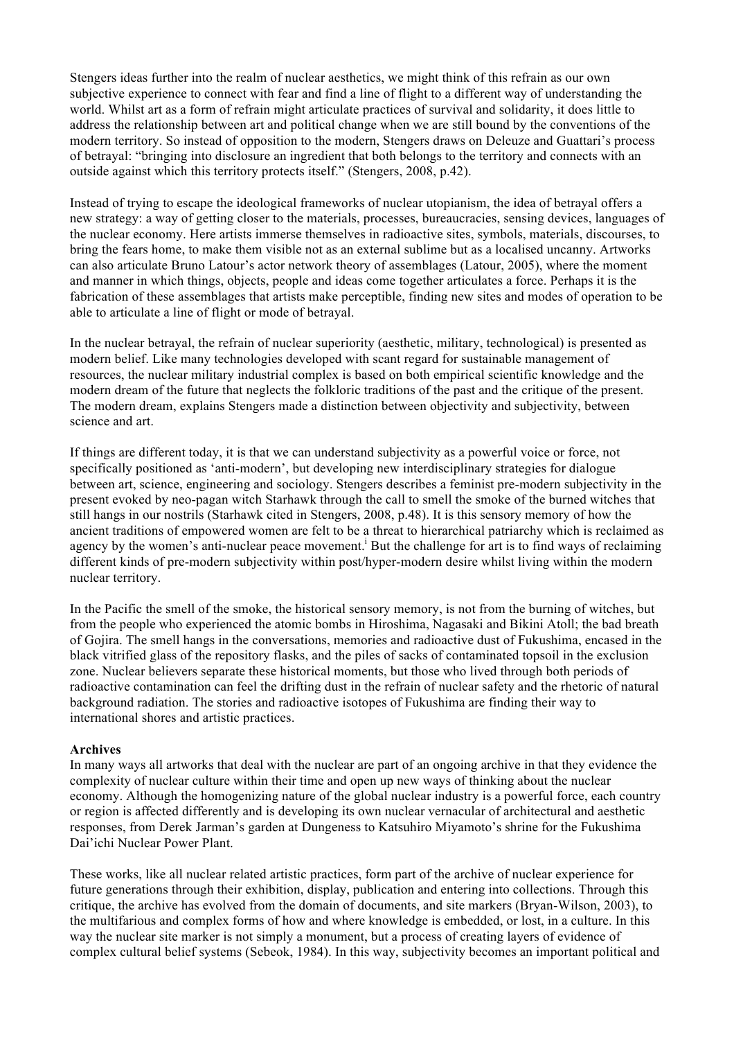Stengers ideas further into the realm of nuclear aesthetics, we might think of this refrain as our own subjective experience to connect with fear and find a line of flight to a different way of understanding the world. Whilst art as a form of refrain might articulate practices of survival and solidarity, it does little to address the relationship between art and political change when we are still bound by the conventions of the modern territory. So instead of opposition to the modern, Stengers draws on Deleuze and Guattari's process of betrayal: "bringing into disclosure an ingredient that both belongs to the territory and connects with an outside against which this territory protects itself." (Stengers, 2008, p.42).

Instead of trying to escape the ideological frameworks of nuclear utopianism, the idea of betrayal offers a new strategy: a way of getting closer to the materials, processes, bureaucracies, sensing devices, languages of the nuclear economy. Here artists immerse themselves in radioactive sites, symbols, materials, discourses, to bring the fears home, to make them visible not as an external sublime but as a localised uncanny. Artworks can also articulate Bruno Latour's actor network theory of assemblages (Latour, 2005), where the moment and manner in which things, objects, people and ideas come together articulates a force. Perhaps it is the fabrication of these assemblages that artists make perceptible, finding new sites and modes of operation to be able to articulate a line of flight or mode of betrayal.

In the nuclear betrayal, the refrain of nuclear superiority (aesthetic, military, technological) is presented as modern belief. Like many technologies developed with scant regard for sustainable management of resources, the nuclear military industrial complex is based on both empirical scientific knowledge and the modern dream of the future that neglects the folkloric traditions of the past and the critique of the present. The modern dream, explains Stengers made a distinction between objectivity and subjectivity, between science and art.

If things are different today, it is that we can understand subjectivity as a powerful voice or force, not specifically positioned as 'anti-modern', but developing new interdisciplinary strategies for dialogue between art, science, engineering and sociology. Stengers describes a feminist pre-modern subjectivity in the present evoked by neo-pagan witch Starhawk through the call to smell the smoke of the burned witches that still hangs in our nostrils (Starhawk cited in Stengers, 2008, p.48). It is this sensory memory of how the ancient traditions of empowered women are felt to be a threat to hierarchical patriarchy which is reclaimed as agency by the women's anti-nuclear peace movement.<sup>i</sup> But the challenge for art is to find ways of reclaiming different kinds of pre-modern subjectivity within post/hyper-modern desire whilst living within the modern nuclear territory.

In the Pacific the smell of the smoke, the historical sensory memory, is not from the burning of witches, but from the people who experienced the atomic bombs in Hiroshima, Nagasaki and Bikini Atoll; the bad breath of Gojira. The smell hangs in the conversations, memories and radioactive dust of Fukushima, encased in the black vitrified glass of the repository flasks, and the piles of sacks of contaminated topsoil in the exclusion zone. Nuclear believers separate these historical moments, but those who lived through both periods of radioactive contamination can feel the drifting dust in the refrain of nuclear safety and the rhetoric of natural background radiation. The stories and radioactive isotopes of Fukushima are finding their way to international shores and artistic practices.

#### **Archives**

In many ways all artworks that deal with the nuclear are part of an ongoing archive in that they evidence the complexity of nuclear culture within their time and open up new ways of thinking about the nuclear economy. Although the homogenizing nature of the global nuclear industry is a powerful force, each country or region is affected differently and is developing its own nuclear vernacular of architectural and aesthetic responses, from Derek Jarman's garden at Dungeness to Katsuhiro Miyamoto's shrine for the Fukushima Dai'ichi Nuclear Power Plant.

These works, like all nuclear related artistic practices, form part of the archive of nuclear experience for future generations through their exhibition, display, publication and entering into collections. Through this critique, the archive has evolved from the domain of documents, and site markers (Bryan-Wilson, 2003), to the multifarious and complex forms of how and where knowledge is embedded, or lost, in a culture. In this way the nuclear site marker is not simply a monument, but a process of creating layers of evidence of complex cultural belief systems (Sebeok, 1984). In this way, subjectivity becomes an important political and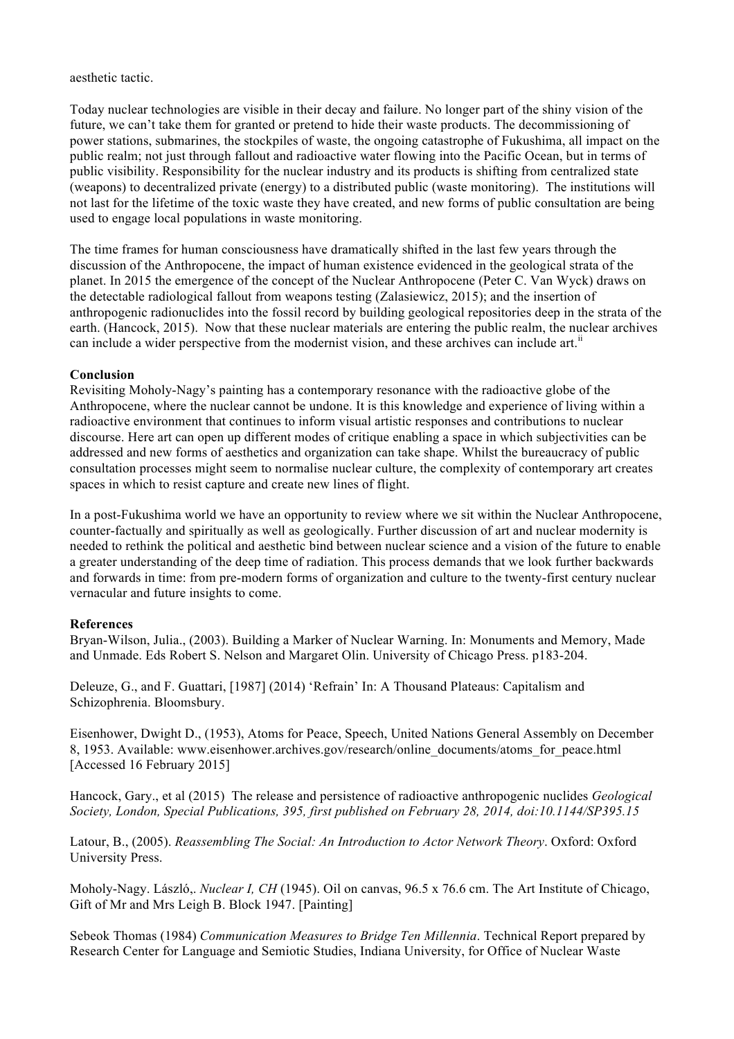### aesthetic tactic.

Today nuclear technologies are visible in their decay and failure. No longer part of the shiny vision of the future, we can't take them for granted or pretend to hide their waste products. The decommissioning of power stations, submarines, the stockpiles of waste, the ongoing catastrophe of Fukushima, all impact on the public realm; not just through fallout and radioactive water flowing into the Pacific Ocean, but in terms of public visibility. Responsibility for the nuclear industry and its products is shifting from centralized state (weapons) to decentralized private (energy) to a distributed public (waste monitoring). The institutions will not last for the lifetime of the toxic waste they have created, and new forms of public consultation are being used to engage local populations in waste monitoring.

The time frames for human consciousness have dramatically shifted in the last few years through the discussion of the Anthropocene, the impact of human existence evidenced in the geological strata of the planet. In 2015 the emergence of the concept of the Nuclear Anthropocene (Peter C. Van Wyck) draws on the detectable radiological fallout from weapons testing (Zalasiewicz, 2015); and the insertion of anthropogenic radionuclides into the fossil record by building geological repositories deep in the strata of the earth. (Hancock, 2015). Now that these nuclear materials are entering the public realm, the nuclear archives can include a wider perspective from the modernist vision, and these archives can include art.<sup>ii</sup>

## **Conclusion**

Revisiting Moholy-Nagy's painting has a contemporary resonance with the radioactive globe of the Anthropocene, where the nuclear cannot be undone. It is this knowledge and experience of living within a radioactive environment that continues to inform visual artistic responses and contributions to nuclear discourse. Here art can open up different modes of critique enabling a space in which subjectivities can be addressed and new forms of aesthetics and organization can take shape. Whilst the bureaucracy of public consultation processes might seem to normalise nuclear culture, the complexity of contemporary art creates spaces in which to resist capture and create new lines of flight.

In a post-Fukushima world we have an opportunity to review where we sit within the Nuclear Anthropocene, counter-factually and spiritually as well as geologically. Further discussion of art and nuclear modernity is needed to rethink the political and aesthetic bind between nuclear science and a vision of the future to enable a greater understanding of the deep time of radiation. This process demands that we look further backwards and forwards in time: from pre-modern forms of organization and culture to the twenty-first century nuclear vernacular and future insights to come.

## **References**

Bryan-Wilson, Julia., (2003). Building a Marker of Nuclear Warning. In: Monuments and Memory, Made and Unmade. Eds Robert S. Nelson and Margaret Olin. University of Chicago Press. p183-204.

Deleuze, G., and F. Guattari, [1987] (2014) 'Refrain' In: A Thousand Plateaus: Capitalism and Schizophrenia. Bloomsbury.

Eisenhower, Dwight D., (1953), Atoms for Peace, Speech, United Nations General Assembly on December 8, 1953. Available: www.eisenhower.archives.gov/research/online\_documents/atoms\_for\_peace.html [Accessed 16 February 2015]

Hancock, Gary., et al (2015) The release and persistence of radioactive anthropogenic nuclides *Geological Society, London, Special Publications, 395, first published on February 28, 2014, doi:10.1144/SP395.15*

Latour, B., (2005). *Reassembling The Social: An Introduction to Actor Network Theory*. Oxford: Oxford University Press.

Moholy-Nagy. László,. *Nuclear I, CH* (1945). Oil on canvas, 96.5 x 76.6 cm. The Art Institute of Chicago, Gift of Mr and Mrs Leigh B. Block 1947. [Painting]

Sebeok Thomas (1984) *Communication Measures to Bridge Ten Millennia*. Technical Report prepared by Research Center for Language and Semiotic Studies, Indiana University, for Office of Nuclear Waste